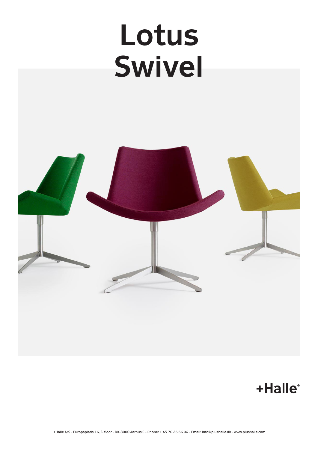# **Lotus Swivel**



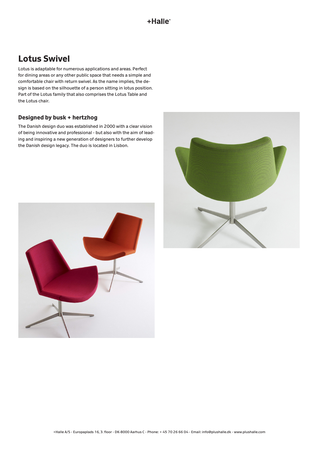## **Lotus Swivel**

Lotus is adaptable for numerous applications and areas. Perfect for dining areas or any other public space that needs a simple and comfortable chair with return swivel. As the name implies, the design is based on the silhouette of a person sitting in lotus position. Part of the Lotus family that also comprises the Lotus Table and the Lotus chair.

#### **Designed by busk + hertzhog**

The Danish design duo was established in 2000 with a clear vision of being innovative and professional - but also with the aim of leading and inspiring a new generation of designers to further develop the Danish design legacy. The duo is located in Lisbon.



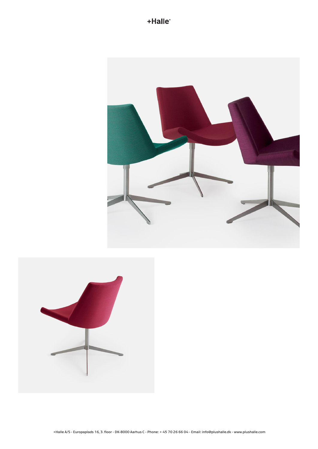+Halle<sup>®</sup>



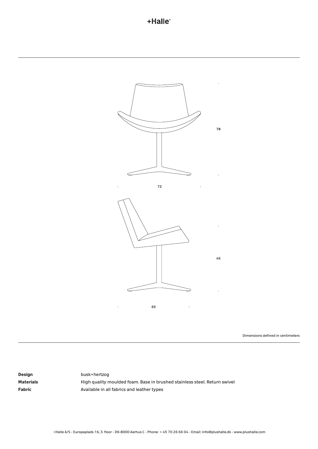+Halle<sup>®</sup>





Dimensions defined in centimeters

**Design Materials Fabric**

busk+hertzog High quality moulded foam. Base in brushed stainless steel. Return swivel Available in all fabrics and leather types